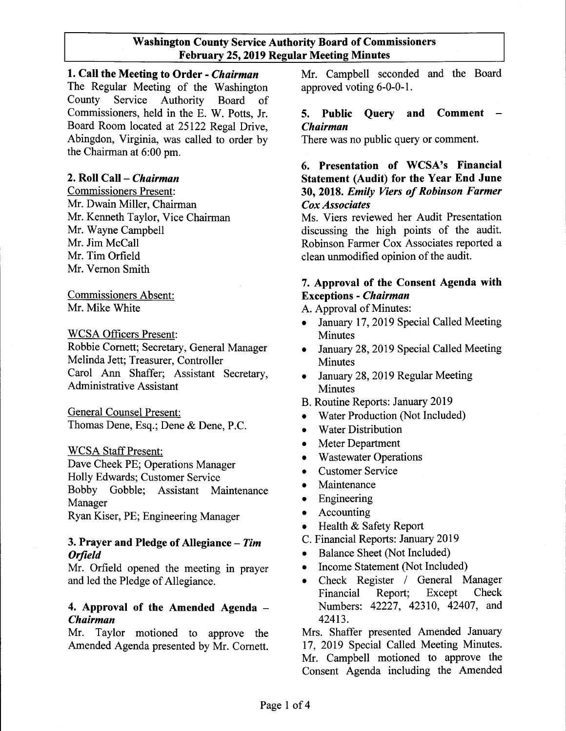# Washington County Service Authority Board of Commissioners February 25, 2019 Regular Meeting Minutes

1. Call the Meeting to Order - *Chairman* Mr. Campbell seconded and the Board The Regular Meeting of the Washington approved voting 6-0-0-1. County Service Authority Board of Commissioners, held in the E. W. Potts, Jr. Board Room located at 25122 Regal Drive, Abingdon, Virginia, was called to order by the Chairman at 6:00 pm.

# 2. Roll Call - *Chairman*

Commissioners Present: Mr. Dwain Miller, Chairman Mr. Kenneth Taylor, Vice Chairman Mr. Wayne Campbell Mr. Jim McCall Mr. Tim Orfield Mr. Vernon Smith

Commissioners Absent: Mr. Mike White

WCSA Officers Present:

Robbie Cornett; Secretary, General Manager Melinda Jett; Treasurer, Controller Carol Ann Shaffer; Assistant Secretary, Administrative Assistant

General Counsel Present: Thomas Dene, Esq.; Dene & Dene, P.C.

## WCSA Staff Present:

Dave Cheek PE; Operations Manager Holly Edwards; Customer Service Bobby Gobble; Assistant Maintenance Manager

Ryan Kiser, PE; Engineering Manager

# 3. Prayer and Pledge of Allegiance - *Tim Orfield*

Mr. Orfield opened the meeting in prayer and led the Pledge of Allegiance.

# 4. Approval of the Amended Agenda - *Chairman*

Mr. Taylor motioned to approve the Amended Agenda presented by Mr. Cornett.

# 5. Public Query and Comment - *Chairman*

There was no public query or comment.

# 6. Presentation of WCSA's Financial Statement (Audit) for the Year End June 30, 2018. *Emily Viers ofRobinson Farmer Cox Associates*

Ms. Viers reviewed her Audit Presentation discussing the high points of the audit. Robinson Farmer Cox Associates reported a clean unmodified opinion of the audit.

# 7. Approval of the Consent Agenda with Exceptions - *Chairman*

A. Approval of Minutes:

- January 17, 2019 Special Called Meeting **Minutes**
- January 28, 2019 Special Called Meeting **Minutes**
- January 28, 2019 Regular Meeting Minutes
- B. Routine Reports: January 2019
- Water Production (Not Included)
- Water Distribution
- Meter Department
- Wastewater Operations
- Customer Service
- Maintenance
- Engineering
- Accounting
- Health & Safety Report
- C. Financial Reports: January 2019
- Balance Sheet (Not Included)
- Income Statement (Not Included)
- Check Register / General Manager Financial Report; Except Check Numbers: 42227, 42310, 42407, and 42413.

Mrs. Shaffer presented Amended January 17, 2019 Special Called Meeting Minutes. Mr. Campbell motioned to approve the Consent Agenda including the Amended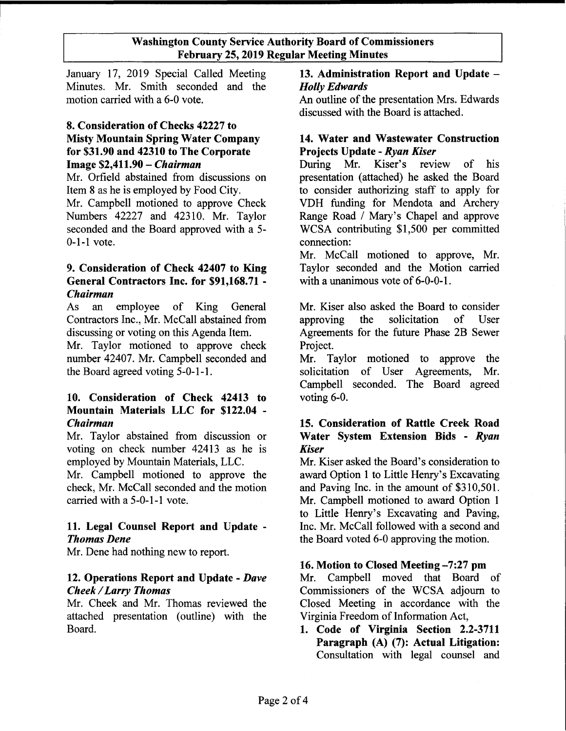## Washington County Service Authority Board of Commissioners February 25, 2019 Regular Meeting Minutes

January 17, 2019 Special Called Meeting 13. Administration Report and Update -Minutes. Mr. Smith seconded and the *Holly Edwards* motion carried with a 6-0 vote. An outline of the presentation Mrs. Edwards

# 8. Consideration of Checks 42227 to Misty Mountain Spring Water Company for \$31.90 and 42310 to The Corporate Image \$2,411.90 - *Chairman*

Mr. Orfield abstained from discussions on Item 8 as he is employed by Food City. Mr. Campbell motioned to approve Check Numbers 42227 and 42310. Mr. Taylor seconded and the Board approved with a 5- 0-I-I vote.

# 9. Consideration of Check 42407 to King General Contractors Inc. for \$91,168.71 - *Chairman*

As an employee of King General Contractors Inc., Mr. McCall abstained from discussing or voting on this Agenda Item.

Mr. Taylor motioned to approve check number 42407. Mr. Campbell seconded and the Board agreed voting 5-0-1-1.

# 10. Consideration of Check 42413 to Mountain Materials LLC for \$122.04 - *Chairman*

Mr. Taylor abstained from discussion or voting on check number 42413 as he is employed by Mountain Materials, LLC.

Mr. Campbell motioned to approve the check, Mr. McCall seconded and the motion carried with a 5-0-1-1 vote.

# 11. Legal Counsel Report and Update - *Thomas Dene*

Mr. Dene had nothing new to report.

# 12. Operations Report and Update - *Dave Cheek* / *Larry Thomas*

Mr. Cheek and Mr. Thomas reviewed the attached presentation (outline) with the Board.

discussed with the Board is attached.

# 14. Water and Wastewater Construction Projects Update - *Ryan Kiser*

During Mr. Kiser's review of his presentation (attached) he asked the Board to consider authorizing staff to apply for VDH funding for Mendota and Archery Range Road / Mary's Chapel and approve WCSA contributing \$1,500 per committed connection:

Mr. McCall motioned to approve, Mr. Taylor seconded and the Motion carried with a unanimous vote of 6-0-0-1.

Mr. Kiser also asked the Board to consider approving the solicitation of User Agreements for the future Phase 2B Sewer Project.

Mr. Taylor motioned to approve the solicitation of User Agreements, Mr. Campbell seconded. The Board agreed voting 6-0.

# 15. Consideration of Rattle Creek Road Water System Extension Bids - *Ryan Kiser*

Mr. Kiser asked the Board's consideration to award Option 1 to Little Henry's Excavating and Paving Inc. in the amount of \$310,501. Mr. Campbell motioned to award Option 1 to Little Henry's Excavating and Paving, Inc. Mr. McCall followed with a second and the Board voted 6-0 approving the motion.

# 16. Motion to Closed Meeting -7:27 pm

Mr. Campbell moved that Board of Commissioners of the WCSA adjourn to Closed Meeting in accordance with the Virginia Freedom of Information Act,

1. Code of Virginia Section 2.2-3711 Paragraph (A) (7): Actual Litigation: Consultation with legal counsel and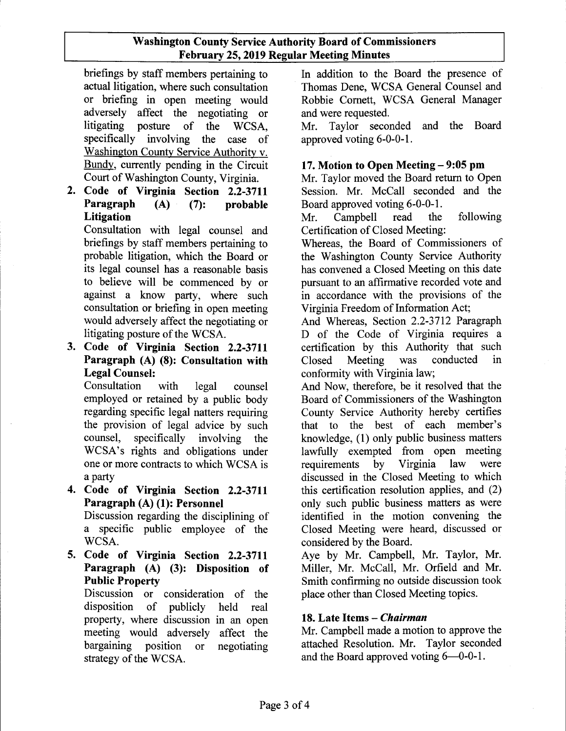# Washington County Service Authority Board of Commissioners February 25, 2019 Regular Meeting Minutes

briefings by staff members pertaining to actual litigation, where such consultation or briefing in open meeting would adversely affect the negotiating or litigating posture of the WCSA, specifically involving the case of Washington County Service Authority v. Bundy, currently pending in the Circuit Court of Washington County, Virginia.

2. Code of Virginia Section 2.2-3711 Paragraph (A) (7): probable Litigation

Consultation with legal counsel and briefings by staff members pertaining to probable litigation, which the Board or its legal counsel has a reasonable basis to believe will be commenced by or against a know party, where such consultation or briefing in open meeting would adversely affect the negotiating or litigating posture of the WCSA.

3. Code of Virginia Section 2.2-3711 Paragraph (A) (8): Consultation with Legal Counsel:

Consultation with legal counsel employed or retained by a public body regarding specific legal natters requiring the provision of legal advice by such counsel, specifically involving the WCSA's rights and obligations under one or more contracts to which WCSA is a party

- 4. Code of Virginia Section 2.2-3711 Paragraph (A) (1): Personnel Discussion regarding the disciplining of a specific public employee of the WCSA.
- 5. Code of Virginia Section 2.2-3711 Paragraph (A) (3): Disposition of Public Property

Discussion or consideration of the disposition of publicly held real property, where discussion in an open meeting would adversely affect the bargaining position or negotiating strategy of the WCSA.

In addition to the Board the presence of Thomas Dene, WCSA General Counsel and Robbie Cornett, WCSA General Manager and were requested.

Mr. Taylor seconded and the Board approved voting 6-0-0-1.

# 17. Motion to Open Meeting – 9:05 pm

Mr. Taylor moved the Board return to Open Session. Mr. McCall seconded and the Board approved voting 6-0-0-1.

Mr. Campbell read the following Certification of Closed Meeting:

Whereas, the Board of Commissioners of the Washington County Service Authority has convened a Closed Meeting on this date pursuant to an affirmative recorded vote and in accordance with the provisions of the Virginia Freedom of Information Act;

And Whereas, Section 2.2-3712 Paragraph D of the Code of Virginia requires a certification by this Authority that such Closed Meeting was conducted in conformity with Virginia law;

And Now, therefore, be it resolved that the Board of Commissioners of the Washington County Service Authority hereby certifies that to the best of each member's knowledge, (1) only public business matters lawfully exempted from open meeting<br>requirements by Virginia law were requirements by Virginia law were discussed in the Closed Meeting to which this certification resolution applies, and (2) only such public business matters as were identified in the motion convening the Closed Meeting were heard, discussed or considered by the Board.

Aye by Mr. Campbell, Mr. Taylor, Mr. Miller, Mr. McCall, Mr. Orfield and Mr. Smith confirming no outside discussion took place other than Closed Meeting topics.

# 18. Late Items - *Chairman*

Mr. Campbell made a motion to approve the attached Resolution. Mr. Taylor seconded and the Board approved voting  $6-0-0-1$ .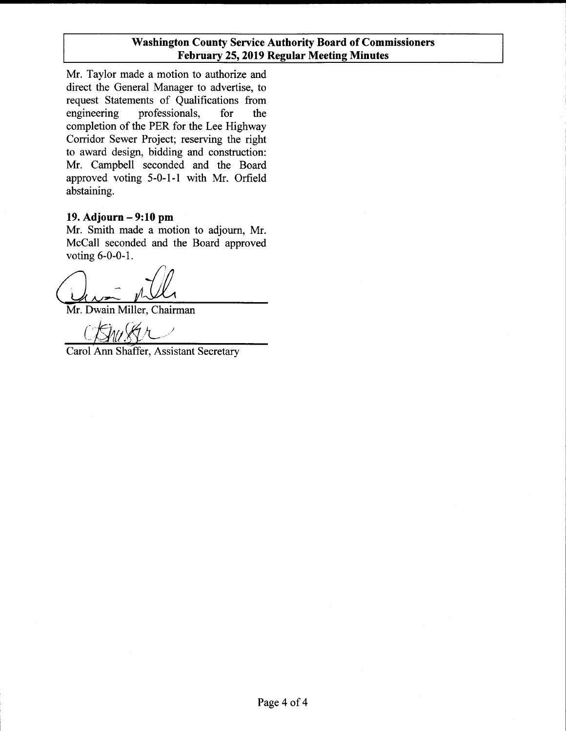Mr. Taylor made a motion to authorize and direct the General Manager to advertise, to request Statements of Qualifications from engineering professionals, for the completion of the PER for the Lee Highway Corridor Sewer Project; reserving the right to award design, bidding and construction: Mr. Campbell seconded and the Board approved voting 5-0-1-1 with Mr. Orfield abstaining.

# **19. Adjourn - 9:10 pm**

Mr. Smith made a motion to adjourn, Mr. McCall seconded and the Board approved voting 6-0-0-1.

Que pill

Mr. Dwain Miller, Chairman

Carol Ann Shaffer, Assistant Secretary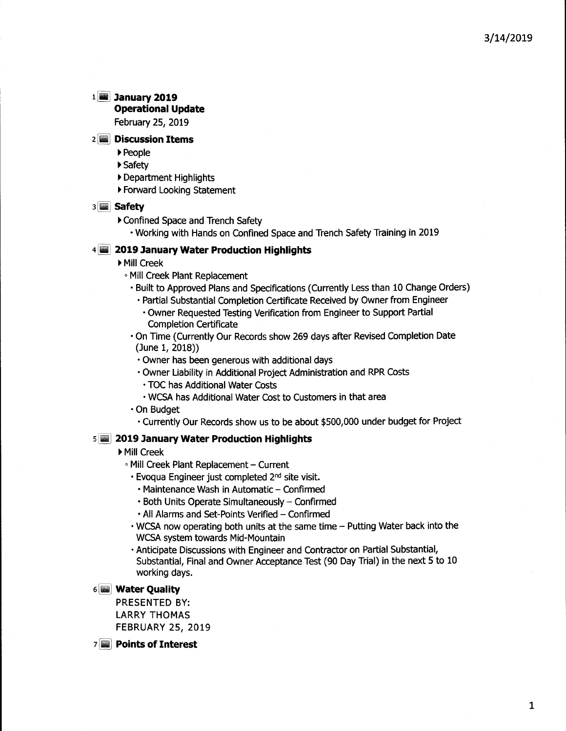#### <sup>1</sup> [jjJ **January 2019 Operational Update**

February 25, 2019

#### **2 Discussion Items**

- ~People
- ~Safety
- Department Highlights
- Forward Looking Statement

#### 3 **Safety**

- ▶ Confined Space and Trench Safety
	- Working with Hands on Confined Space and Trench Safety Training in 2019

### 4 **2019 January Water Production Highlights**

- ▶ Mill Creek
	- Mill Creek Plant Replacement
	- Built to Approved Plans and Specifications (Currently Less than 10 Change Orders)
		- Partial Substantial Completion Certificate Received by Owner from Engineer
		- Owner Requested Testing Verification from Engineer to Support Partial Completion Certificate
	- On Time (Currently Our Records show 269 days after Revised Completion Date (June 1, 2018))
	- $\cdot$  Owner has been generous with additional days
	- Owner Liability in Additional Project Administration and RPR Costs
	- TOC has Additional Water Costs
	- WCSA has Additional Water Cost to Customers in that area
	- On Budget
		- Currently Our Records show us to be about \$500,000 under budget for Project

#### 5 **2019 January Water Production Highlights**

- ~MiII Creek
	- Mill Creek Plant Replacement Current
	- Evoqua Engineer just completed 2nd site visit.
		- Maintenance Wash in Automatic Confirmed
		- $\cdot$  Both Units Operate Simultaneously Confirmed
	- All Alarms and Set-Points Verified Confirmed
	- $\cdot$  WCSA now operating both units at the same time  $-$  Putting Water back into the WCSA system towards Mid-Mountain
	- Anticipate Discussions with Engineer and Contractor on Partial Substantial, Substantial, Final and Owner Acceptance Test (90 Day Trial) in the next 5 to 10 working days.

#### 6 **Water Quality**

PRESENTED BY: LARRY THOMAS FEBRUARY 25, 2019

7 **Points of Interest**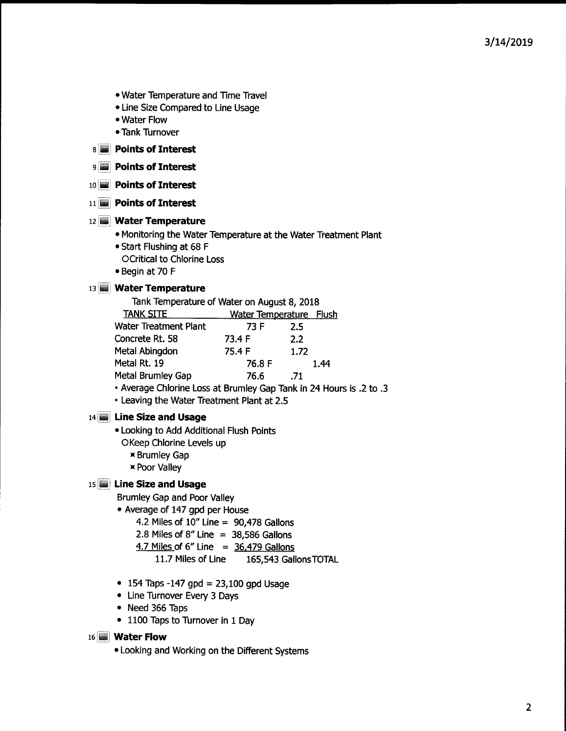- Water Temperature and Time Travel
- Line Size Compared to Line Usage
- Water Flow
- Tank Turnover

8 **Points of Interest**

- 9 **Points of Interest**
- 10 ~1 **Points of Interest**
- 11 **Points of Interest**

#### 12 **Water Temperature**

- Monitoring the Water Temperature at the Water Treatment Plant
- Start Flushing at 68 F
- OCritical to Chlorine Loss
- Begin at 70 F

#### 13 **Water Temperature**

| Tank Temperature of Water on August 8, 2018 |                                |      |
|---------------------------------------------|--------------------------------|------|
| <b>TANK SITE</b>                            | <b>Water Temperature Flush</b> |      |
| <b>Water Treatment Plant</b>                | 73 F                           | 2.5  |
| Concrete Rt. 58                             | 73.4 F                         | 2.2  |
| <b>Metal Abingdon</b>                       | 75.4 F                         | 1.72 |
| Metal Rt. 19                                | 76.8 F                         | 1.44 |
| Metal Brumley Gap                           | 76.6                           | .71  |
|                                             |                                |      |

• Average Chlorine Loss at Brumley Gap Tank in 24 Hours is .2 to .3

• Leaving the Water Treatment Plant at 2.5

#### 14 **Line Size and Usage**

- Looking to Add Additional Flush Points
	- OKeep Chlorine Levels up
		- Brumley Gap
		- Poor Valley

#### 15 **Line Size and Usage**

Brumley Gap and Poor Valley

- Average of 147 gpd per House
	- 4.2 Miles of 10" Line = 90,478 Gallons
	- 2.8 Miles of  $8''$  Line = 38,586 Gallons
	- 4.7 Miles of  $6''$  Line =  $36,479$  Gallons
		- 11.7 Miles of Line 165,543 GallonsTOTAL
- 154 Taps -147 gpd =  $23,100$  gpd Usage
- Line Turnover Every 3 Days
- Need 366 Taps
- 1100 Taps to Turnover in 1 Day

#### 16 **Water Flow**

• Looking and Working on the Different Systems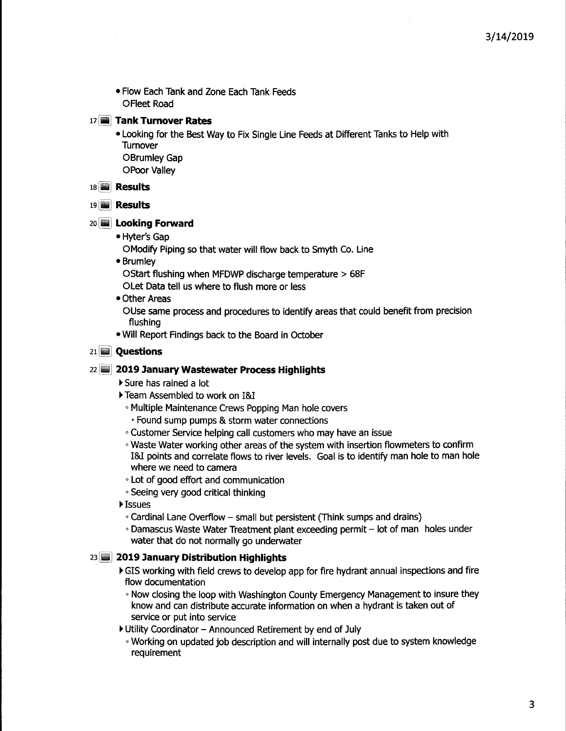• Flow Each Tank and Zone Each Tank Feeds **OFleet Road** 

#### 17 **Tank Turnover Rates**

• Looking for the Best Way to Fix Single Line Feeds at Different Tanks to Help with **Turnover** OBrumley Gap oPoor Valley

#### 18 **iii** Results

#### 19 **Results**

#### 20 **Looking Forward**

• Hyter's Gap

OModify Piping so that water will flow back to Smyth Co. Line

• Brumley

OStart flushing when MFDWP discharge temperature > 68F

OLet Data tell us where to flush more or less

• Other Areas

OUse same process and procedures to identify areas that could benefit from precision flushing

• Will Report Findings back to the Board in October

#### 21 **Questions**

#### 22 **2019 January Wastewater Process Highlights**

- Sure has rained a lot
- Team Assembled to work on 1&1
	- **Multiple Maintenance Crews Popping Man hole covers** 
		- Found sump pumps & storm water connections
- <sup>o</sup> Customer Service helping call customers who may have an issue
- <sup>o</sup> Waste Waterworking other areas of the system with insertion flowmeters to confirm 1&1 points and correlate flows to river levels. Goal is to identifyman holeto manhole where we need to camera
- Lot of good effort and communication
- Seeing very good critical thinking
- **▶ Issues** 
	- $\circ$  Cardinal Lane Overflow small but persistent (Think sumps and drains)
- Damascus Waste Water Treatment plant exceeding permit lot of man holes under water that do not normally go underwater

#### 23 **2019 January Distribution Highlights**

- $\blacktriangleright$  GIS working with field crews to develop app for fire hydrant annual inspections and fire flow documentation
	- . Now closing the loop with Washington County Emergency Management to insure they know and can distribute accurate information on when a hydrant is taken out of service or put into service
- Utility Coordinator Announced Retirement by end of July
	- **Working on updated job description and will internally post due to system knowledge** requirement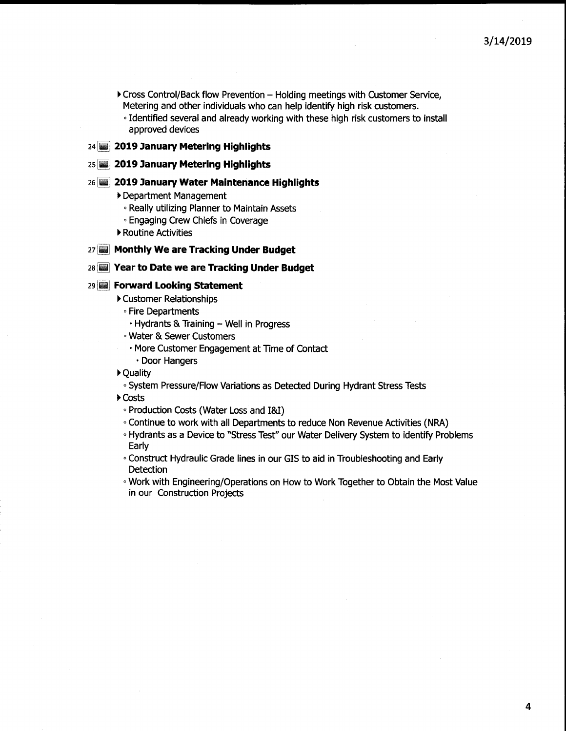- Cross Control/Back flow Prevention Holding meetings with Customer Service, Metering and other individuals who can help identify high risk customers.
	- <sup>o</sup> Identified several and already workingwith these high risk customers to install approved devices

### 24 **2019 January Metering Highlights**

#### 25 **2019 January Metering Highlights**

#### 26 **2019 January Water Maintenance Highlights**

Department Management

- <sup>o</sup> Really utilizing Planner to Maintain Assets
- <sup>o</sup> Engaging Crew Chiefs in Coverage
- ▶ Routine Activities

#### 27 **Monthly We are Tracking Under Budget**

#### 28 **Year to Date we are Tracking Under Budget**

#### 29 **Forward Looking Statement**

- Customer Relationships
	- <sup>o</sup> Fire Departments
	- $\cdot$  Hydrants & Training  $-$  Well in Progress
	- <sup>o</sup> Water& Sewer Customers
	- More Customer Engagement at Time of Contact
		- Door Hangers

~Quality

o System Pressure/Flow Variations as Detected During Hydrant Stress Tests

~Costs

- <sup>o</sup> Production Costs (Water Loss and 1&1)
- . Continue to work with all Departments to reduce Non Revenue Activities (NRA)
- o Hydrants as a Device to "Stress Test" our Water Delivery System to identify Problems Early
- <sup>o</sup> Construct Hydraulic Grade lines in our GIS to aid in Troubleshooting and Early **Detection**
- . Work with Engineering/Operations on How to Work Together to Obtain the Most Value in our Construction Projects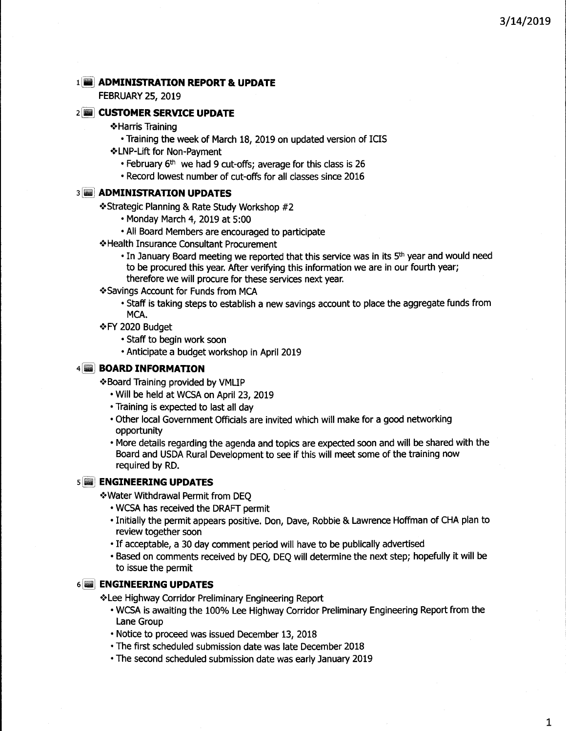#### 1 **ADMINISTRATION REPORT & UPDATE**

FEBRUARY 25, 2019

#### 2 **CUSTOMER SERVICE UPDATE**

- ·:·Harris Training
	- Training the week of March 18, 2019 on updated version of ICIS
- ·:·LNP-Lift for Non-Payment
	- February 6<sup>th</sup> we had 9 cut-offs; average for this class is 26
	- Record lowest number of cut-offs for all classes since 2016

#### 3 **ADMINISTRATION UPDATES**

·:·Strategic Planning & Rate Study Workshop #2

- Monday March 4, 2019 at 5:00
- All Board Members are encouraged to participate
- ·:·Health Insurance Consultant Procurement
	- In January Board meeting we reported that this service was in its 5<sup>th</sup> year and would need to be procured this year. After verifying this information we are in our fourth year; therefore we will procure for these services next year.
- \*Savings Account for Funds from MCA
	- Staff is taking steps to establish a new savings account to place the aggregate funds from MCA.
- **\*FY 2020 Budget** 
	- Staff to begin work soon
	- Anticipate a budget workshop in April 2019

#### 4 **BOARD INFORMATION**

- ·:·Board Training provided by VMUP
	- Will be held at WCSA on April 23, 2019
	- Training is expected to lastall day
	- Other local Government Officials are invited which will make for a good networking opportunity
	- More details regarding the agenda and topics are expected soon and will be shared with the Board and USDA Rural Development to see if this will meet some of the training now required by RD.

#### 5 **ENGINEERING UPDATES**

- ·:·Water Withdrawal Permit from DEQ
	- WCSA has received the DRAFT permit
	- Initially the permit appears positive. Don, Dave, Robbie & Lawrence Hoffman of CHA plan to review together soon
	- If acceptable, a 30 day comment period will have to be publically advertised
	- Based on comments received by DEQ, DEQ will determine the next step; hopefully it will be to issue the permit

#### 6 **ENGINEERING UPDATES**

\*Lee Highway Corridor Preliminary Engineering Report

- WCSA is awaiting the 100% Lee Highway Corridor Preliminary Engineering Report from the Lane Group
- Notice to proceed was issued December 13, 2018
- The first scheduled submission date was late December 2018
- The second scheduled submission date was early January 2019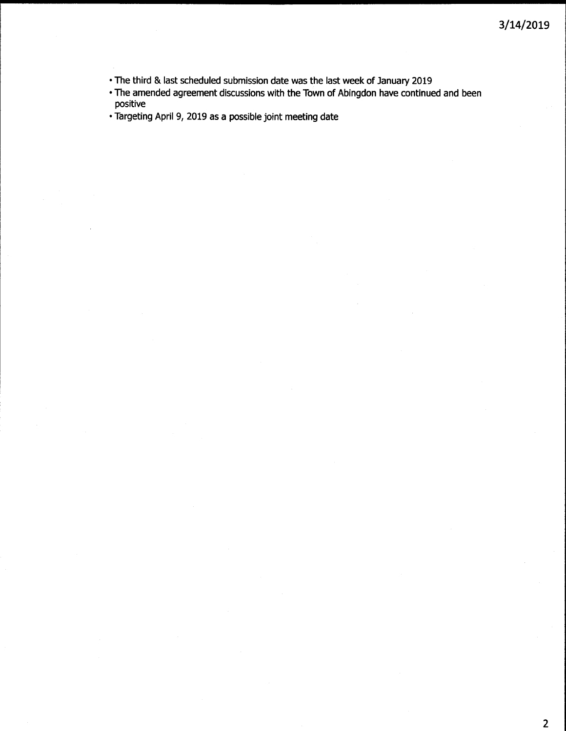- The third & last scheduled submission date was the last week of January 2019
- The amended agreement discussions with the Town of Abingdon have continued and been positive
- Targeting April 9, 2019 as a possible joint meeting date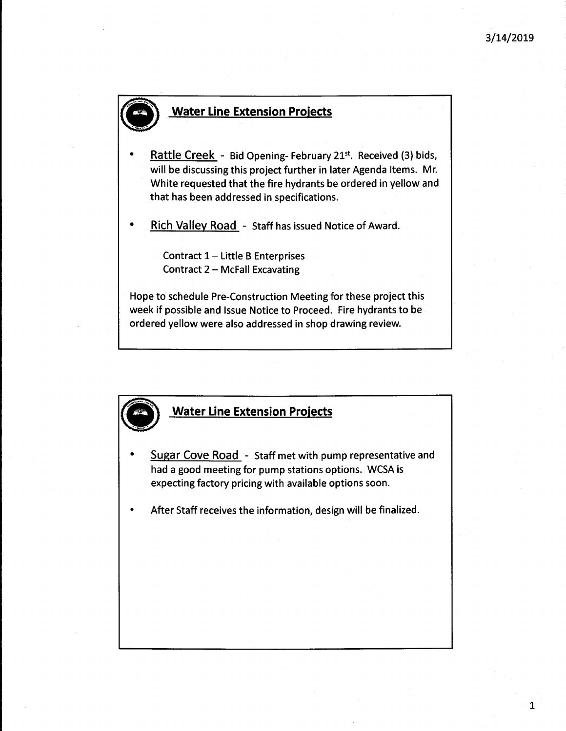# **Water Line Extension Projects**

- Rattle Creek - Bid Opening- February 21st. Received (3) bids, will be discussing this project further in later Agenda Items. Mr. White requested that the fire hydrants be ordered in yellow and that has been addressed in specifications.
- Rich Valley Road - Staff has issued Notice of Award.

Contract  $1$  – Little B Enterprises Contract  $2 - McFall Excavating$ 

Hope to schedule Pre-Construction Meeting for these project this week if possible and Issue Notice to Proceed. Fire hydrants to be ordered yellow were also addressed in shop drawing review.

### **Water Line Extension Projects**

- Sugar Cove Road - Staff met with pump representative and had a good meeting for pump stations options. WCSA is expecting factory pricing with available options soon.
- After Staff receives the information, design will be finalized.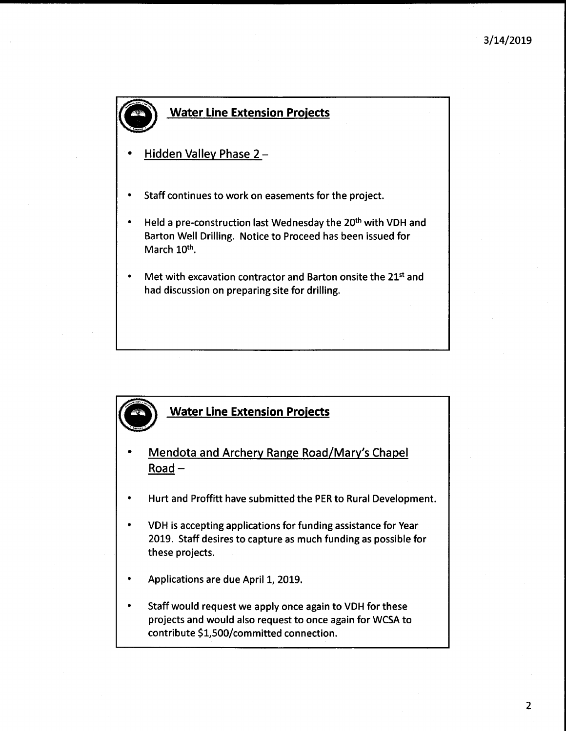# \_ Water Line Extension Projects

- Hidden Valley Phase 2-
- Staff continues to work on easements for the project.
- Held a pre-construction last Wednesday the 20<sup>th</sup> with VDH and Barton Well Drilling. Notice to Proceed has been issued for March 10<sup>th</sup>.
- Met with excavation contractor and Barton onsite the 21<sup>st</sup> and had discussion on preparing site for drilling.

# **Water Line Extension Projects**

- Mendota and Archery Range Road/Mary's Chapel Road-
- Hurt and Proffitt have submitted the PER to Rural Development.
- VDH is accepting applications for funding assistance for Year 2019. Staff desires to capture as much funding as possible for these projects.
- Applications are due April 1, 2019.
- Staff would request we apply once again to VDH for these projects and would also request to once again for WCSA to contribute \$l,SOO/committed connection.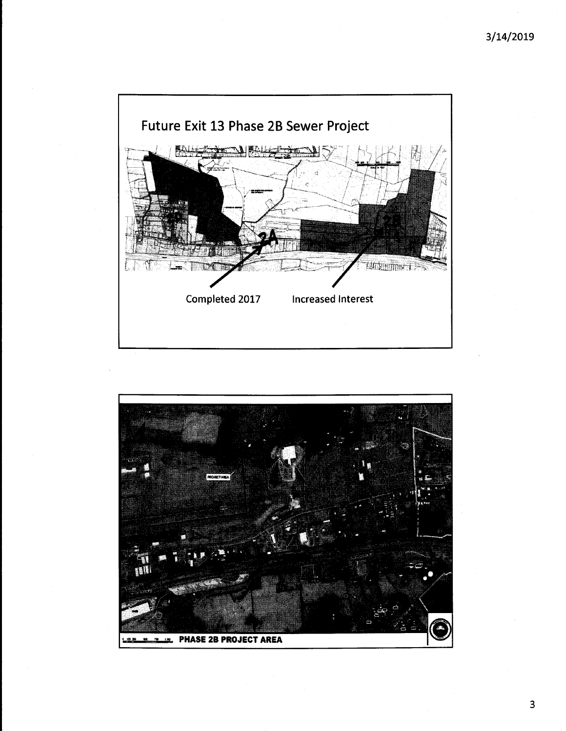

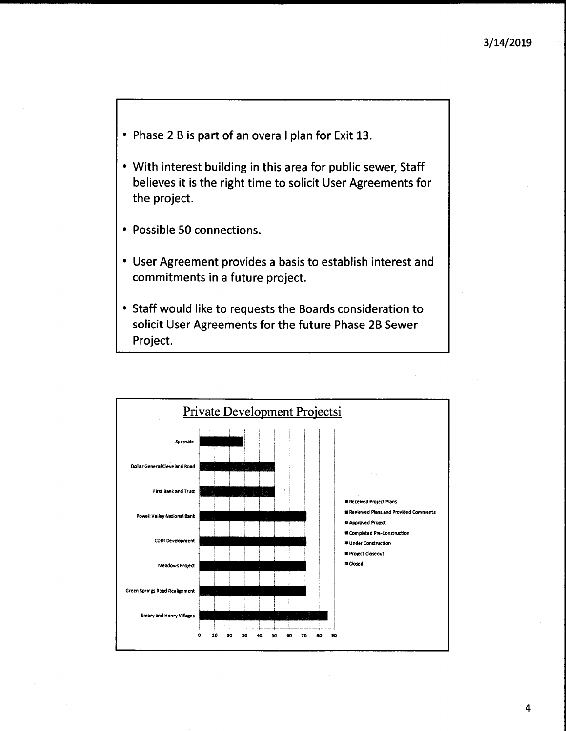- Phase 2 B is part of an overall plan for Exit 13.
- With interest building in this area for public sewer, Staff believes it is the right time to solicit User Agreements for the project.
- Possible 50 connections.
- User Agreement provides a basis to establish interest and commitments in a future project.
- Staff would like to requests the Boards consideration to solicit User Agreements for the future Phase 2B Sewer Project.

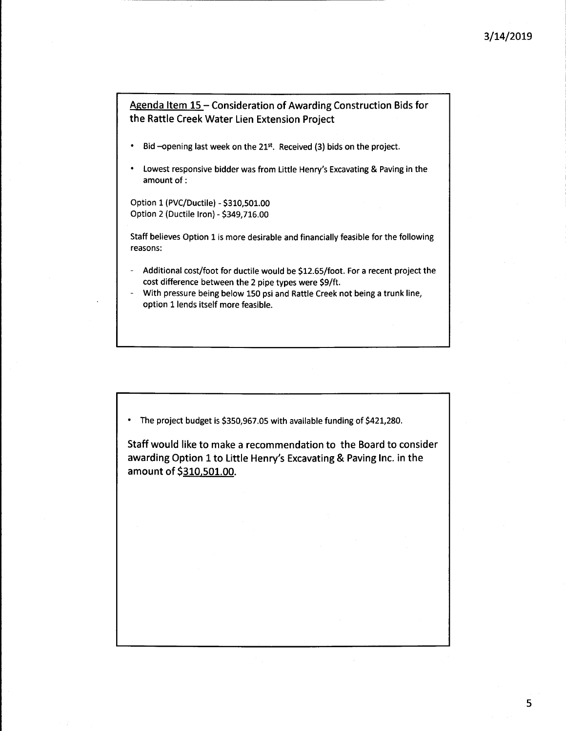Agenda Item 15 - Consideration of Awarding Construction Bids for the Rattle Creek Water Lien Extension Project

- Bid -opening last week on the  $21^{st}$ . Received (3) bids on the project.
- Lowest responsive bidder was from Little Henry's Excavating & Paving in the amount of:

Option 1 (PVC/Ductile) - \$310,501.00 Option 2 (Ductile Iron) - \$349,716.00

Staff believes Option 1 is more desirable and financially feasible for the following reasons:

- Additional cost/foot for ductile would be \$12.65/foot. For a recent project the cost difference between the 2 pipe types were \$9/ft.
- With pressure being below 150 psi and Rattle Creek not being a trunk line, option 1 lends itself more feasible.

• The project budget is \$350,967.05 with available funding of \$421,280.

Staff would like to make a recommendation to the Board to consider awarding Option 1 to Little Henry's Excavating& Paving Inc. in the amount of \$310,501.00.